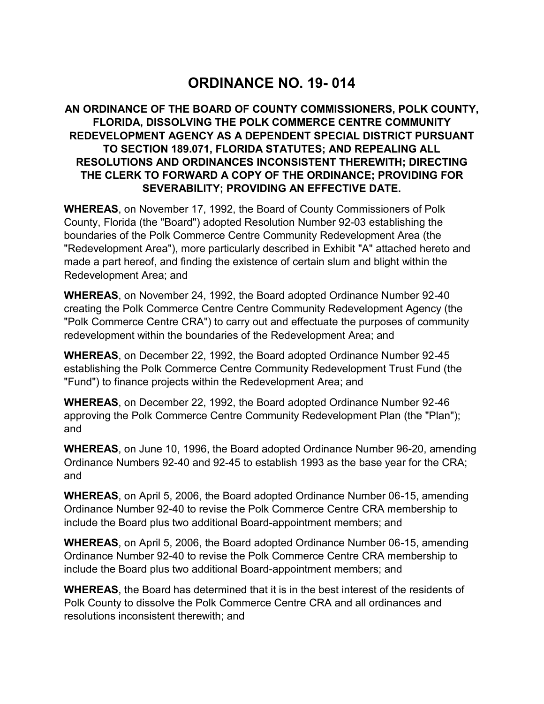# **ORDINANCE NO. 19- 014**

### **AN ORDINANCE OF THE BOARD OF COUNTY COMMISSIONERS, POLK COUNTY, FLORIDA, DISSOLVING THE POLK COMMERCE CENTRE COMMUNITY REDEVELOPMENT AGENCY AS A DEPENDENT SPECIAL DISTRICT PURSUANT TO SECTION 189.071, FLORIDA STATUTES; AND REPEALING ALL RESOLUTIONS AND ORDINANCES INCONSISTENT THEREWITH; DIRECTING THE CLERK TO FORWARD A COPY OF THE ORDINANCE; PROVIDING FOR SEVERABILITY; PROVIDING AN EFFECTIVE DATE.**

 **WHEREAS**, on November 17, 1992, the Board of County Commissioners of Polk County, Florida (the "Board") adopted Resolution Number 92-03 establishing the boundaries of the Polk Commerce Centre Community Redevelopment Area (the "Redevelopment Area"), more particularly described in Exhibit "A" attached hereto and made a part hereof, and finding the existence of certain slum and blight within the Redevelopment Area; and

 **WHEREAS**, on November 24, 1992, the Board adopted Ordinance Number 92-40 creating the Polk Commerce Centre Centre Community Redevelopment Agency (the "Polk Commerce Centre CRA") to carry out and effectuate the purposes of community redevelopment within the boundaries of the Redevelopment Area; and

 **WHEREAS**, on December 22, 1992, the Board adopted Ordinance Number 92-45 establishing the Polk Commerce Centre Community Redevelopment Trust Fund (the "Fund") to finance projects within the Redevelopment Area; and

 **WHEREAS**, on December 22, 1992, the Board adopted Ordinance Number 92-46 approving the Polk Commerce Centre Community Redevelopment Plan (the "Plan"); and

 **WHEREAS**, on June 10, 1996, the Board adopted Ordinance Number 96-20, amending Ordinance Numbers 92-40 and 92-45 to establish 1993 as the base year for the CRA; and

 **WHEREAS**, on April 5, 2006, the Board adopted Ordinance Number 06-15, amending Ordinance Number 92-40 to revise the Polk Commerce Centre CRA membership to include the Board plus two additional Board-appointment members; and

 **WHEREAS**, on April 5, 2006, the Board adopted Ordinance Number 06-15, amending Ordinance Number 92-40 to revise the Polk Commerce Centre CRA membership to include the Board plus two additional Board-appointment members; and

 **WHEREAS**, the Board has determined that it is in the best interest of the residents of Polk County to dissolve the Polk Commerce Centre CRA and all ordinances and resolutions inconsistent therewith; and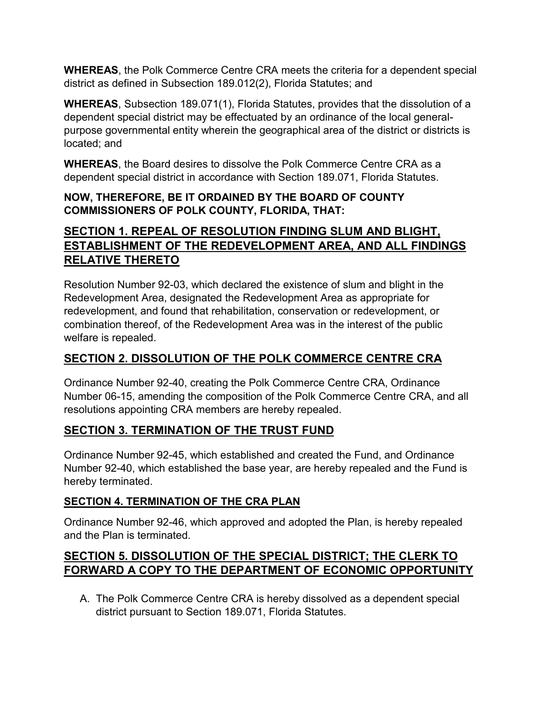**WHEREAS**, the Polk Commerce Centre CRA meets the criteria for a dependent special district as defined in Subsection 189.012(2), Florida Statutes; and

 **WHEREAS**, Subsection 189.071(1), Florida Statutes, provides that the dissolution of a dependent special district may be effectuated by an ordinance of the local general- purpose governmental entity wherein the geographical area of the district or districts is located; and

 **WHEREAS**, the Board desires to dissolve the Polk Commerce Centre CRA as a dependent special district in accordance with Section 189.071, Florida Statutes.

### **NOW, THEREFORE, BE IT ORDAINED BY THE BOARD OF COUNTY COMMISSIONERS OF POLK COUNTY, FLORIDA, THAT:**

# **SECTION 1. REPEAL OF RESOLUTION FINDING SLUM AND BLIGHT, ESTABLISHMENT OF THE REDEVELOPMENT AREA, AND ALL FINDINGS RELATIVE THERETO**

 Resolution Number 92-03, which declared the existence of slum and blight in the Redevelopment Area, designated the Redevelopment Area as appropriate for redevelopment, and found that rehabilitation, conservation or redevelopment, or combination thereof, of the Redevelopment Area was in the interest of the public welfare is repealed.

# **SECTION 2. DISSOLUTION OF THE POLK COMMERCE CENTRE CRA**

 Ordinance Number 92-40, creating the Polk Commerce Centre CRA, Ordinance Number 06-15, amending the composition of the Polk Commerce Centre CRA, and all resolutions appointing CRA members are hereby repealed.

# **SECTION 3. TERMINATION OF THE TRUST FUND**

 Ordinance Number 92-45, which established and created the Fund, and Ordinance Number 92-40, which established the base year, are hereby repealed and the Fund is hereby terminated.

### **SECTION 4. TERMINATION OF THE CRA PLAN**

 Ordinance Number 92-46, which approved and adopted the Plan, is hereby repealed and the Plan is terminated.

# **SECTION 5. DISSOLUTION OF THE SPECIAL DISTRICT; THE CLERK TO FORWARD A COPY TO THE DEPARTMENT OF ECONOMIC OPPORTUNITY**

A. The Polk Commerce Centre CRA is hereby dissolved as a dependent special district pursuant to Section 189.071, Florida Statutes.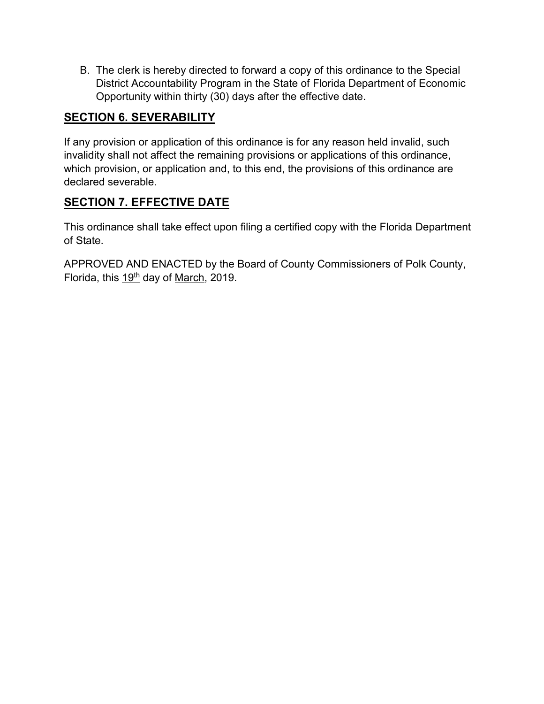B. The clerk is hereby directed to forward a copy of this ordinance to the Special District Accountability Program in the State of Florida Department of Economic Opportunity within thirty (30) days after the effective date.

### **SECTION 6. SEVERABILITY**

 If any provision or application of this ordinance is for any reason held invalid, such invalidity shall not affect the remaining provisions or applications of this ordinance, which provision, or application and, to this end, the provisions of this ordinance are declared severable.

### **SECTION 7. EFFECTIVE DATE**

 This ordinance shall take effect upon filing a certified copy with the Florida Department of State.

 APPROVED AND ENACTED by the Board of County Commissioners of Polk County, Florida, this <u>19<sup>th</sup></u> day of <u>March,</u> 2019.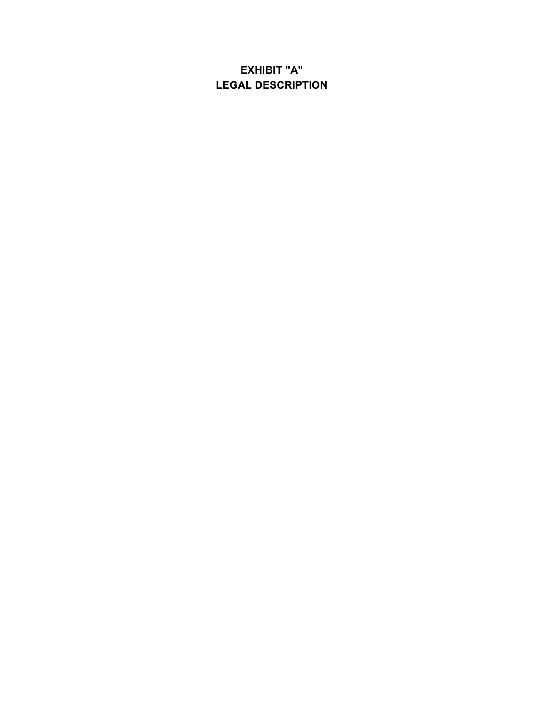# **EXHIBIT "A" LEGAL DESCRIPTION**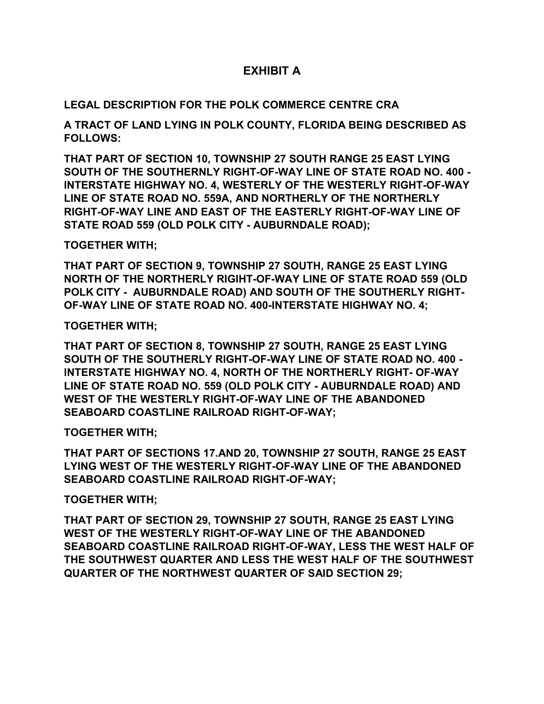### **EXHIBIT A**

### **LEGAL DESCRIPTION FOR THE POLK COMMERCE CENTRE CRA**

 **A TRACT OF LAND LYING IN POLK COUNTY, FLORIDA BEING DESCRIBED AS FOLLOWS:** 

 **THAT PART OF SECTION 10, TOWNSHIP 27 SOUTH RANGE 25 EAST LYING SOUTH OF THE SOUTHERNLY RIGHT-OF-WAY LINE OF STATE ROAD NO. 400 - INTERSTATE HIGHWAY NO. 4, WESTERLY OF THE WESTERLY RIGHT-OF-WAY LINE OF STATE ROAD NO. 559A, AND NORTHERLY OF THE NORTHERLY RIGHT-OF-WAY LINE AND EAST OF THE EASTERLY RIGHT-OF-WAY LINE OF STATE ROAD 559 (OLD POLK CITY - AUBURNDALE ROAD);** 

#### **TOGETHER WITH;**

 **THAT PART OF SECTION 9, TOWNSHIP 27 SOUTH, RANGE 25 EAST LYING NORTH OF THE NORTHERLY RIGIHT-OF-WAY LINE OF STATE ROAD 559 (OLD POLK CITY - AUBURNDALE ROAD) AND SOUTH OF THE SOUTHERLY RIGHT- OF-WAY LINE OF STATE ROAD NO. 400-INTERSTATE HIGHWAY NO. 4;** 

**TOGETHER WITH;** 

 **THAT PART OF SECTION 8, TOWNSHIP 27 SOUTH, RANGE 25 EAST LYING SOUTH OF THE SOUTHERLY RIGHT-OF-WAY LINE OF STATE ROAD NO. 400 - INTERSTATE HIGHWAY NO. 4, NORTH OF THE NORTHERLY RIGHT OF-WAY LINE OF STATE ROAD NO. 559 (OLD POLK CITY - AUBURNDALE ROAD) AND WEST OF THE WESTERLY RIGHT-OF-WAY LINE OF THE ABANDONED SEABOARD COASTLINE RAILROAD RIGHT-OF-WAY;** 

#### **TOGETHER WITH;**

 **THAT PART OF SECTIONS 17.AND 20, TOWNSHIP 27 SOUTH, RANGE 25 EAST LYING WEST OF THE WESTERLY RIGHT-OF-WAY LINE OF THE ABANDONED SEABOARD COASTLINE RAILROAD RIGHT-OF-WAY;** 

#### **TOGETHER WITH;**

 **THAT PART OF SECTION 29, TOWNSHIP 27 SOUTH, RANGE 25 EAST LYING WEST OF THE WESTERLY RIGHT-OF-WAY LINE OF THE ABANDONED SEABOARD COASTLINE RAILROAD RIGHT-OF-WAY, LESS THE WEST HALF OF THE SOUTHWEST QUARTER AND LESS THE WEST HALF OF THE SOUTHWEST QUARTER OF THE NORTHWEST QUARTER OF SAID SECTION 29;**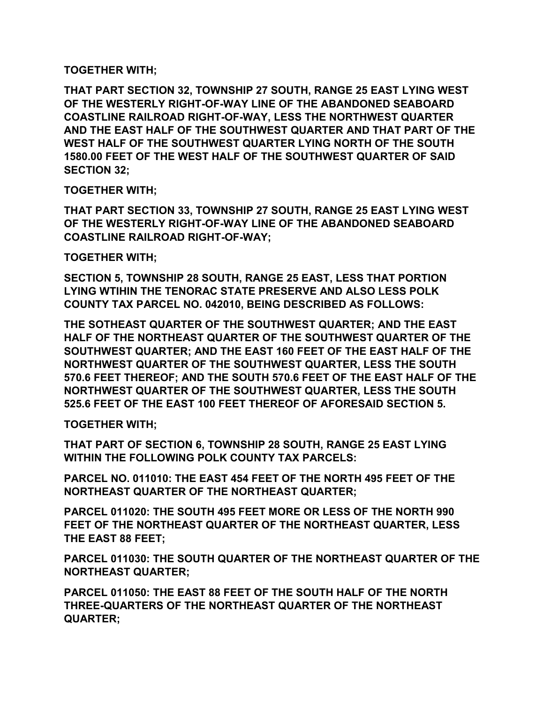#### **TOGETHER WITH;**

 **THAT PART SECTION 32, TOWNSHIP 27 SOUTH, RANGE 25 EAST LYING WEST OF THE WESTERLY RIGHT-OF-WAY LINE OF THE ABANDONED SEABOARD COASTLINE RAILROAD RIGHT-OF-WAY, LESS THE NORTHWEST QUARTER AND THE EAST HALF OF THE SOUTHWEST QUARTER AND THAT PART OF THE WEST HALF OF THE SOUTHWEST QUARTER LYING NORTH OF THE SOUTH 1580.00 FEET OF THE WEST HALF OF THE SOUTHWEST QUARTER OF SAID SECTION 32;** 

### **TOGETHER WITH;**

 **THAT PART SECTION 33, TOWNSHIP 27 SOUTH, RANGE 25 EAST LYING WEST OF THE WESTERLY RIGHT-OF-WAY LINE OF THE ABANDONED SEABOARD COASTLINE RAILROAD RIGHT-OF-WAY;** 

### **TOGETHER WITH;**

 **SECTION 5, TOWNSHIP 28 SOUTH, RANGE 25 EAST, LESS THAT PORTION LYING WTIHIN THE TENORAC STATE PRESERVE AND ALSO LESS POLK COUNTY TAX PARCEL NO. 042010, BEING DESCRIBED AS FOLLOWS:** 

 **THE SOTHEAST QUARTER OF THE SOUTHWEST QUARTER; AND THE EAST HALF OF THE NORTHEAST QUARTER OF THE SOUTHWEST QUARTER OF THE SOUTHWEST QUARTER; AND THE EAST 160 FEET OF THE EAST HALF OF THE NORTHWEST QUARTER OF THE SOUTHWEST QUARTER, LESS THE SOUTH 570.6 FEET THEREOF; AND THE SOUTH 570.6 FEET OF THE EAST HALF OF THE NORTHWEST QUARTER OF THE SOUTHWEST QUARTER, LESS THE SOUTH 525.6 FEET OF THE EAST 100 FEET THEREOF OF AFORESAID SECTION 5.** 

**TOGETHER WITH;** 

 **THAT PART OF SECTION 6, TOWNSHIP 28 SOUTH, RANGE 25 EAST LYING WITHIN THE FOLLOWING POLK COUNTY TAX PARCELS:** 

 **PARCEL NO. 011010: THE EAST 454 FEET OF THE NORTH 495 FEET OF THE NORTHEAST QUARTER OF THE NORTHEAST QUARTER;** 

 **PARCEL 011020: THE SOUTH 495 FEET MORE OR LESS OF THE NORTH 990 FEET OF THE NORTHEAST QUARTER OF THE NORTHEAST QUARTER, LESS THE EAST 88 FEET;** 

 **PARCEL 011030: THE SOUTH QUARTER OF THE NORTHEAST QUARTER OF THE NORTHEAST QUARTER;** 

 **PARCEL 011050: THE EAST 88 FEET OF THE SOUTH HALF OF THE NORTH THREE-QUARTERS OF THE NORTHEAST QUARTER OF THE NORTHEAST QUARTER;**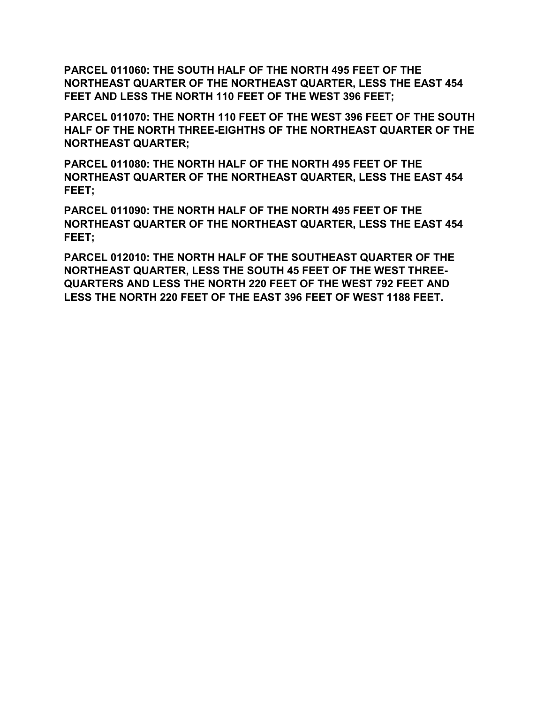**PARCEL 011060: THE SOUTH HALF OF THE NORTH 495 FEET OF THE NORTHEAST QUARTER OF THE NORTHEAST QUARTER, LESS THE EAST 454 FEET AND LESS THE NORTH 110 FEET OF THE WEST 396 FEET;** 

 **PARCEL 011070: THE NORTH 110 FEET OF THE WEST 396 FEET OF THE SOUTH HALF OF THE NORTH THREE-EIGHTHS OF THE NORTHEAST QUARTER OF THE NORTHEAST QUARTER;** 

 **PARCEL 011080: THE NORTH HALF OF THE NORTH 495 FEET OF THE NORTHEAST QUARTER OF THE NORTHEAST QUARTER, LESS THE EAST 454 FEET;** 

 **PARCEL 011090: THE NORTH HALF OF THE NORTH 495 FEET OF THE NORTHEAST QUARTER OF THE NORTHEAST QUARTER, LESS THE EAST 454 FEET;** 

 **PARCEL 012010: THE NORTH HALF OF THE SOUTHEAST QUARTER OF THE NORTHEAST QUARTER, LESS THE SOUTH 45 FEET OF THE WEST THREE- QUARTERS AND LESS THE NORTH 220 FEET OF THE WEST 792 FEET AND LESS THE NORTH 220 FEET OF THE EAST 396 FEET OF WEST 1188 FEET.**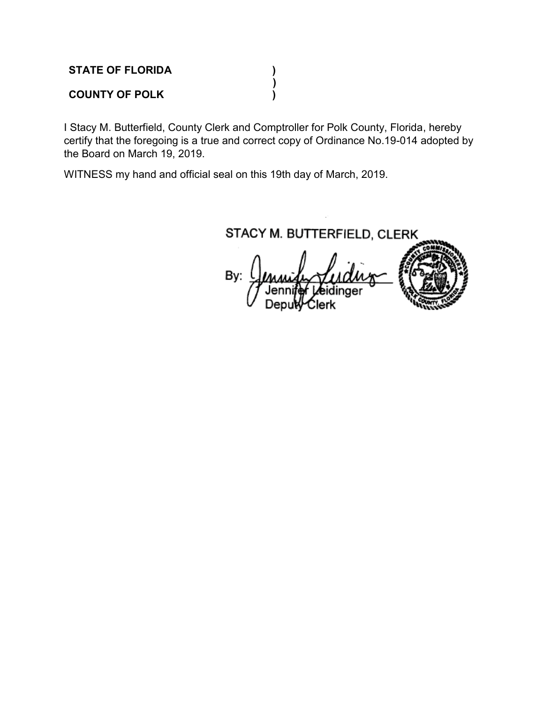**STATE OF FLORIDA ) ) COUNTY OF POLK )** 

 I Stacy M. Butterfield, County Clerk and Comptroller for Polk County, Florida, hereby certify that the foregoing is a true and correct copy of Ordinance No.19-014 adopted by the Board on March 19, 2019.

WITNESS my hand and official seal on this 19th day of March, 2019.

STACY M. BUTTERFIELD, CLERK

By: